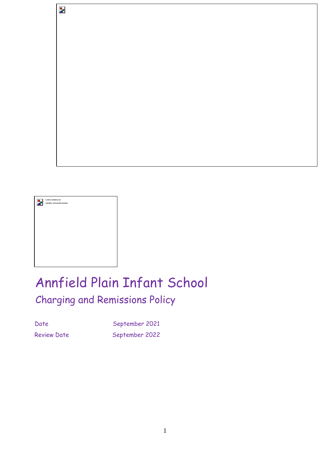

 $\overline{\mathbf{z}}$ 

# Annfield Plain Infant School Charging and Remissions Policy

Date September 2021 Review Date September 2022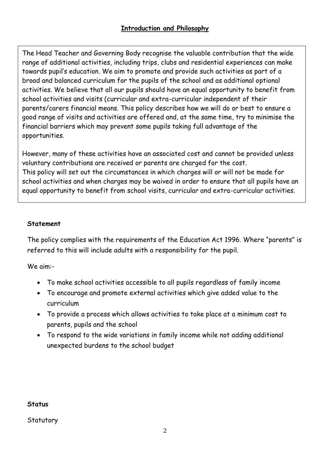The Head Teacher and Governing Body recognise the valuable contribution that the wide range of additional activities, including trips, clubs and residential experiences can make towards pupil's education. We aim to promote and provide such activities as part of a broad and balanced curriculum for the pupils of the school and as additional optional activities. We believe that all our pupils should have an equal opportunity to benefit from school activities and visits (curricular and extra-curricular independent of their parents/carers financial means. This policy describes how we will do or best to ensure a good range of visits and activities are offered and, at the same time, try to minimise the financial barriers which may prevent some pupils taking full advantage of the opportunities.

However, many of these activities have an associated cost and cannot be provided unless voluntary contributions are received or parents are charged for the cost. This policy will set out the circumstances in which charges will or will not be made for school activities and when charges may be waived in order to ensure that all pupils have an equal opportunity to benefit from school visits, curricular and extra-curricular activities.

## **Statement**

The policy complies with the requirements of the Education Act 1996. Where "parents" is referred to this will include adults with a responsibility for the pupil.

We aim:-

- To make school activities accessible to all pupils regardless of family income
- To encourage and promote external activities which give added value to the curriculum
- To provide a process which allows activities to take place at a minimum cost to parents, pupils and the school
- To respond to the wide variations in family income while not adding additional unexpected burdens to the school budget

#### **Status**

**Statutory**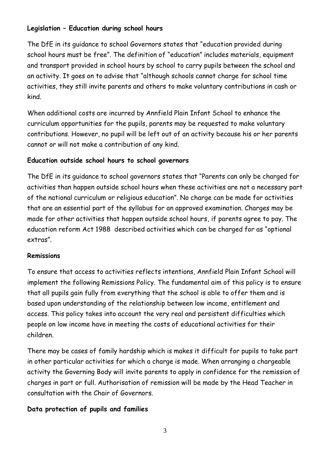# **Legislation – Education during school hours**

The DfE in its guidance to school Governors states that "education provided during school hours must be free". The definition of "education" includes materials, equipment and transport provided in school hours by school to carry pupils between the school and an activity. It goes on to advise that "although schools cannot charge for school time activities, they still invite parents and others to make voluntary contributions in cash or kind.

When additional costs are incurred by Annfield Plain Infant School to enhance the curriculum opportunities for the pupils, parents may be requested to make voluntary contributions. However, no pupil will be left out of an activity because his or her parents cannot or will not make a contribution of any kind.

## **Education outside school hours to school governors**

The DfE in its guidance to school governors states that "Parents can only be charged for activities than happen outside school hours when these activities are not a necessary part of the national curriculum or religious education". No charge can be made for activities that are an essential part of the syllabus for an approved examination. Charges may be made for other activities that happen outside school hours, if parents agree to pay. The education reform Act 1988 described activities which can be charged for as "optional extras".

## **Remissions**

To ensure that access to activities reflects intentions, Annfield Plain Infant School will implement the following Remissions Policy. The fundamental aim of this policy is to ensure that all pupils gain fully from everything that the school is able to offer them and is based upon understanding of the relationship between low income, entitlement and access. This policy takes into account the very real and persistent difficulties which people on low income have in meeting the costs of educational activities for their children.

There may be cases of family hardship which is makes it difficult for pupils to take part in other particular activities for which a charge is made. When arranging a chargeable activity the Governing Body will invite parents to apply in confidence for the remission of charges in part or full. Authorisation of remission will be made by the Head Teacher in consultation with the Chair of Governors.

## **Data protection of pupils and families**

3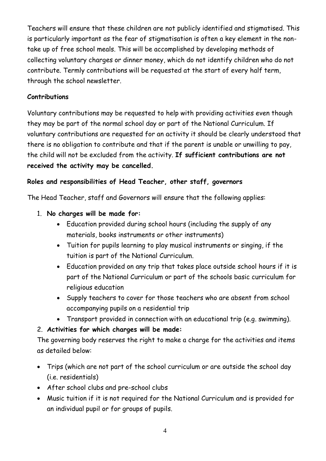Teachers will ensure that these children are not publicly identified and stigmatised. This is particularly important as the fear of stigmatisation is often a key element in the nontake up of free school meals. This will be accomplished by developing methods of collecting voluntary charges or dinner money, which do not identify children who do not contribute. Termly contributions will be requested at the start of every half term, through the school newsletter.

## **Contributions**

Voluntary contributions may be requested to help with providing activities even though they may be part of the normal school day or part of the National Curriculum. If voluntary contributions are requested for an activity it should be clearly understood that there is no obligation to contribute and that if the parent is unable or unwilling to pay, the child will not be excluded from the activity. **If sufficient contributions are not received the activity may be cancelled.** 

# **Roles and responsibilities of Head Teacher, other staff, governors**

The Head Teacher, staff and Governors will ensure that the following applies:

- 1. **No charges will be made for:**
	- Education provided during school hours (including the supply of any materials, books instruments or other instruments)
	- Tuition for pupils learning to play musical instruments or singing, if the tuition is part of the National Curriculum.
	- Education provided on any trip that takes place outside school hours if it is part of the National Curriculum or part of the schools basic curriculum for religious education
	- Supply teachers to cover for those teachers who are absent from school accompanying pupils on a residential trip
	- Transport provided in connection with an educational trip (e.g. swimming).

# 2. **Activities for which charges will be made:**

The governing body reserves the right to make a charge for the activities and items as detailed below:

- Trips (which are not part of the school curriculum or are outside the school day (i.e. residentials)
- After school clubs and pre-school clubs
- Music tuition if it is not required for the National Curriculum and is provided for an individual pupil or for groups of pupils.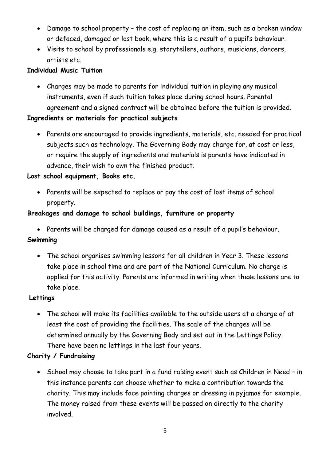- Damage to school property the cost of replacing an item, such as a broken window or defaced, damaged or lost book, where this is a result of a pupil's behaviour.
- Visits to school by professionals e.g. storytellers, authors, musicians, dancers, artists etc.

## **Individual Music Tuition**

• Charges may be made to parents for individual tuition in playing any musical instruments, even if such tuition takes place during school hours. Parental agreement and a signed contract will be obtained before the tuition is provided.

## **Ingredients or materials for practical subjects**

• Parents are encouraged to provide ingredients, materials, etc. needed for practical subjects such as technology. The Governing Body may charge for, at cost or less, or require the supply of ingredients and materials is parents have indicated in advance, their wish to own the finished product.

## **Lost school equipment, Books etc.**

• Parents will be expected to replace or pay the cost of lost items of school property.

## **Breakages and damage to school buildings, furniture or property**

• Parents will be charged for damage caused as a result of a pupil's behaviour.

## **Swimming**

• The school organises swimming lessons for all children in Year 3. These lessons take place in school time and are part of the National Curriculum. No charge is applied for this activity. Parents are informed in writing when these lessons are to take place.

## **Lettings**

• The school will make its facilities available to the outside users at a charge of at least the cost of providing the facilities. The scale of the charges will be determined annually by the Governing Body and set out in the Lettings Policy. There have been no lettings in the last four years.

# **Charity / Fundraising**

• School may choose to take part in a fund raising event such as Children in Need – in this instance parents can choose whether to make a contribution towards the charity. This may include face painting charges or dressing in pyjamas for example. The money raised from these events will be passed on directly to the charity involved.